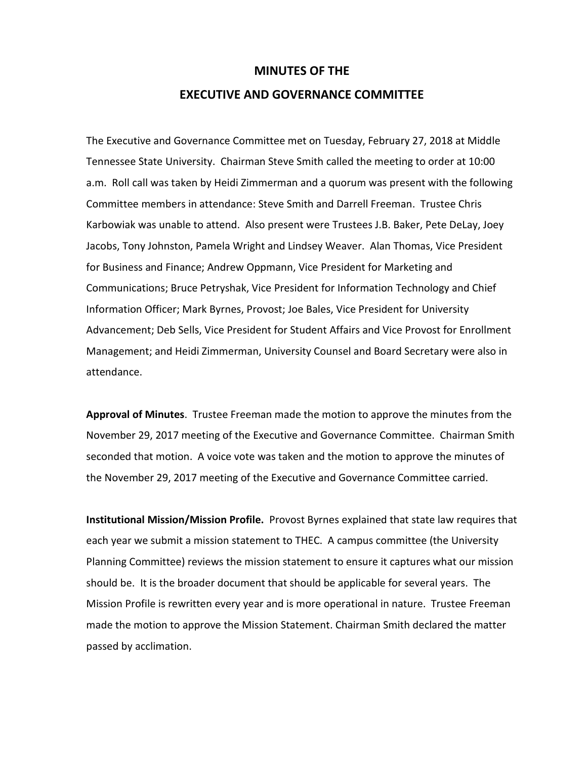## **MINUTES OF THE**

## **EXECUTIVE AND GOVERNANCE COMMITTEE**

The Executive and Governance Committee met on Tuesday, February 27, 2018 at Middle Tennessee State University. Chairman Steve Smith called the meeting to order at 10:00 a.m. Roll call was taken by Heidi Zimmerman and a quorum was present with the following Committee members in attendance: Steve Smith and Darrell Freeman. Trustee Chris Karbowiak was unable to attend. Also present were Trustees J.B. Baker, Pete DeLay, Joey Jacobs, Tony Johnston, Pamela Wright and Lindsey Weaver. Alan Thomas, Vice President for Business and Finance; Andrew Oppmann, Vice President for Marketing and Communications; Bruce Petryshak, Vice President for Information Technology and Chief Information Officer; Mark Byrnes, Provost; Joe Bales, Vice President for University Advancement; Deb Sells, Vice President for Student Affairs and Vice Provost for Enrollment Management; and Heidi Zimmerman, University Counsel and Board Secretary were also in attendance.

**Approval of Minutes**. Trustee Freeman made the motion to approve the minutes from the November 29, 2017 meeting of the Executive and Governance Committee. Chairman Smith seconded that motion. A voice vote was taken and the motion to approve the minutes of the November 29, 2017 meeting of the Executive and Governance Committee carried.

**Institutional Mission/Mission Profile.** Provost Byrnes explained that state law requires that each year we submit a mission statement to THEC. A campus committee (the University Planning Committee) reviews the mission statement to ensure it captures what our mission should be. It is the broader document that should be applicable for several years. The Mission Profile is rewritten every year and is more operational in nature. Trustee Freeman made the motion to approve the Mission Statement. Chairman Smith declared the matter passed by acclimation.